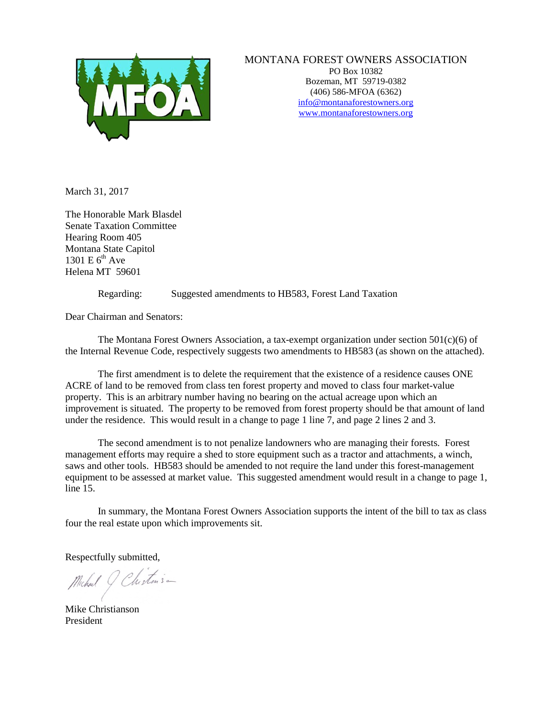

## MONTANA FOREST OWNERS ASSOCIATION

PO Box 10382 Bozeman, MT 59719-0382 (406) 586-MFOA (6362) [info@montanaforestowners.org](mailto:MFOA@mjchristianson.com) www.montanaforestowners.org

March 31, 2017

The Honorable Mark Blasdel Senate Taxation Committee Hearing Room 405 Montana State Capitol 1301 E  $6<sup>th</sup>$  Ave Helena MT 59601

Regarding: Suggested amendments to HB583, Forest Land Taxation

Dear Chairman and Senators:

The Montana Forest Owners Association, a tax-exempt organization under section 501(c)(6) of the Internal Revenue Code, respectively suggests two amendments to HB583 (as shown on the attached).

The first amendment is to delete the requirement that the existence of a residence causes ONE ACRE of land to be removed from class ten forest property and moved to class four market-value property. This is an arbitrary number having no bearing on the actual acreage upon which an improvement is situated. The property to be removed from forest property should be that amount of land under the residence. This would result in a change to page 1 line 7, and page 2 lines 2 and 3.

The second amendment is to not penalize landowners who are managing their forests. Forest management efforts may require a shed to store equipment such as a tractor and attachments, a winch, saws and other tools. HB583 should be amended to not require the land under this forest-management equipment to be assessed at market value. This suggested amendment would result in a change to page 1, line 15.

In summary, the Montana Forest Owners Association supports the intent of the bill to tax as class four the real estate upon which improvements sit.

Respectfully submitted,

Michael 9 Chistens -

Mike Christianson President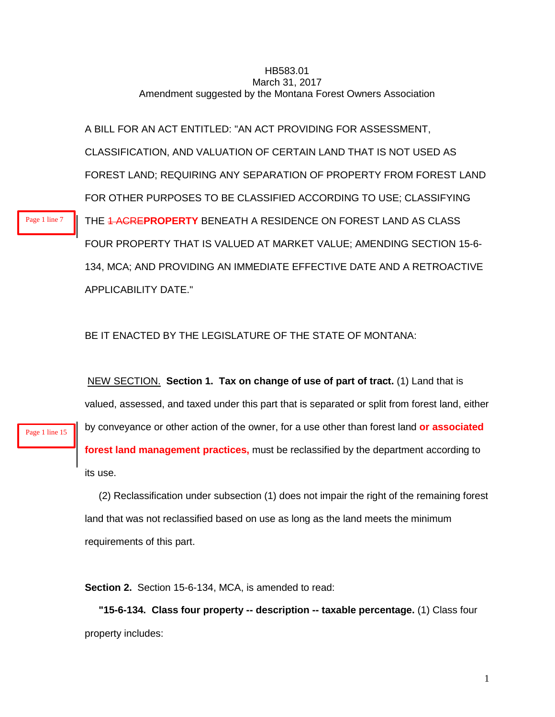## HB583.01 March 31, 2017 Amendment suggested by the Montana Forest Owners Association

A BILL FOR AN ACT ENTITLED: "AN ACT PROVIDING FOR ASSESSMENT, CLASSIFICATION, AND VALUATION OF CERTAIN LAND THAT IS NOT USED AS FOREST LAND; REQUIRING ANY SEPARATION OF PROPERTY FROM FOREST LAND FOR OTHER PURPOSES TO BE CLASSIFIED ACCORDING TO USE; CLASSIFYING THE 1 ACRE**PROPERTY** BENEATH A RESIDENCE ON FOREST LAND AS CLASS FOUR PROPERTY THAT IS VALUED AT MARKET VALUE; AMENDING SECTION 15-6- 134, MCA; AND PROVIDING AN IMMEDIATE EFFECTIVE DATE AND A RETROACTIVE APPLICABILITY DATE."

BE IT ENACTED BY THE LEGISLATURE OF THE STATE OF MONTANA:

NEW SECTION. **Section 1. Tax on change of use of part of tract.** (1) Land that is valued, assessed, and taxed under this part that is separated or split from forest land, either by conveyance or other action of the owner, for a use other than forest land **or associated forest land management practices,** must be reclassified by the department according to its use.

 (2) Reclassification under subsection (1) does not impair the right of the remaining forest land that was not reclassified based on use as long as the land meets the minimum requirements of this part.

**Section 2.** Section 15-6-134, MCA, is amended to read:

 **"15-6-134. Class four property -- description -- taxable percentage.** (1) Class four property includes:

Page 1 line 15

Page 1 line 7

1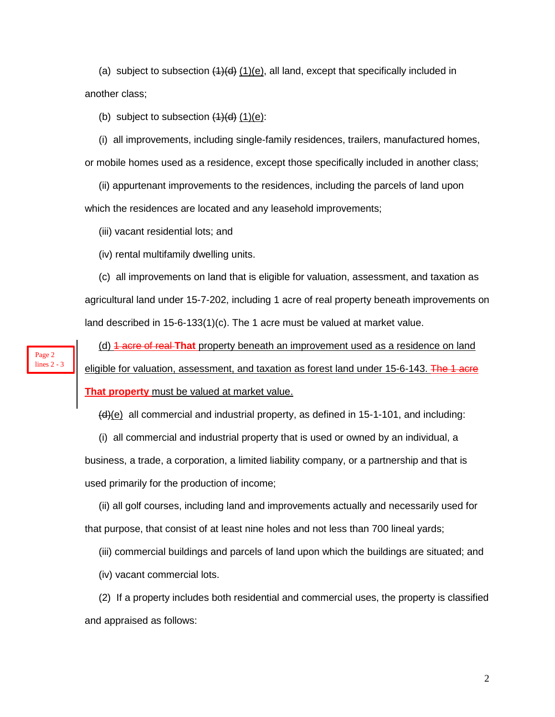(a) subject to subsection  $(1)(d)$  (1)(e), all land, except that specifically included in another class;

(b) subject to subsection  $(1)(d)$   $(1)(e)$ :

 (i) all improvements, including single-family residences, trailers, manufactured homes, or mobile homes used as a residence, except those specifically included in another class;

(ii) appurtenant improvements to the residences, including the parcels of land upon

which the residences are located and any leasehold improvements;

(iii) vacant residential lots; and

Page 2 lines 2 - 3 (iv) rental multifamily dwelling units.

 (c) all improvements on land that is eligible for valuation, assessment, and taxation as agricultural land under 15-7-202, including 1 acre of real property beneath improvements on land described in 15-6-133(1)(c). The 1 acre must be valued at market value.

 (d) 1 acre of real **That** property beneath an improvement used as a residence on land eligible for valuation, assessment, and taxation as forest land under 15-6-143. The 1 acre **That property** must be valued at market value.

 $(d)(e)$  all commercial and industrial property, as defined in 15-1-101, and including:

 (i) all commercial and industrial property that is used or owned by an individual, a business, a trade, a corporation, a limited liability company, or a partnership and that is used primarily for the production of income;

 (ii) all golf courses, including land and improvements actually and necessarily used for that purpose, that consist of at least nine holes and not less than 700 lineal yards;

(iii) commercial buildings and parcels of land upon which the buildings are situated; and

(iv) vacant commercial lots.

 (2) If a property includes both residential and commercial uses, the property is classified and appraised as follows: